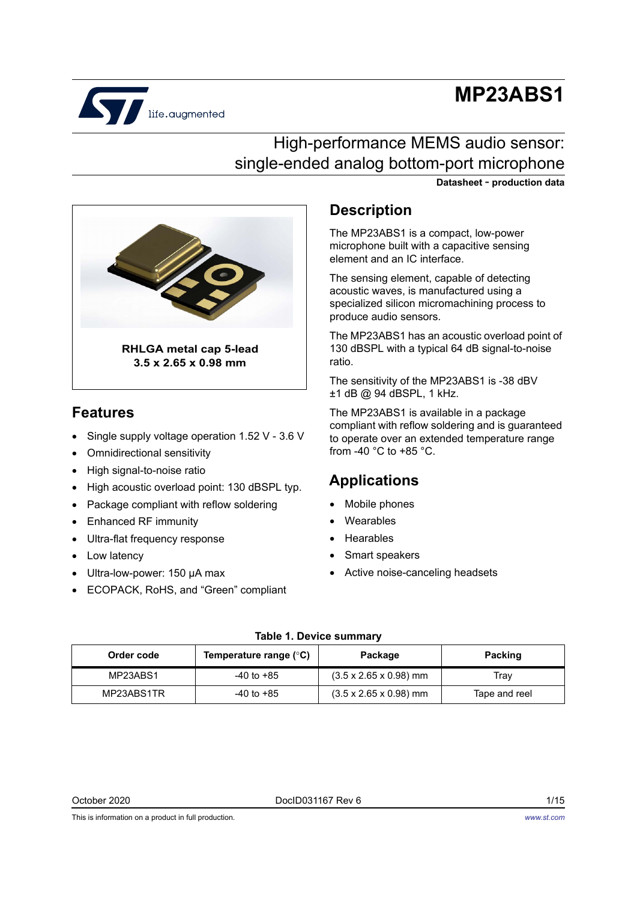# **MP23ABS1**



### High-performance MEMS audio sensor: single-ended analog bottom-port microphone





### **Features**

- Single supply voltage operation 1.52 V 3.6 V
- Omnidirectional sensitivity
- High signal-to-noise ratio
- High acoustic overload point: 130 dBSPL typ.
- Package compliant with reflow soldering
- Enhanced RF immunity
- Ultra-flat frequency response
- Low latency
- Ultra-low-power: 150 μA max
- ECOPACK, RoHS, and "Green" compliant

#### **Description**

The MP23ABS1 is a compact, low-power microphone built with a capacitive sensing element and an IC interface.

The sensing element, capable of detecting acoustic waves, is manufactured using a specialized silicon micromachining process to produce audio sensors.

The MP23ABS1 has an acoustic overload point of 130 dBSPL with a typical 64 dB signal-to-noise ratio.

The sensitivity of the MP23ABS1 is -38 dBV ±1 dB @ 94 dBSPL, 1 kHz.

The MP23ABS1 is available in a package compliant with reflow soldering and is guaranteed to operate over an extended temperature range from -40  $^{\circ}$ C to +85  $^{\circ}$ C.

### **Applications**

- Mobile phones
- Wearables
- Hearables
- Smart speakers
- Active noise-canceling headsets

#### **Table 1. Device summary**

| Order code | Temperature range $(^\circ \text{C})$ | Package                            | <b>Packing</b> |
|------------|---------------------------------------|------------------------------------|----------------|
| MP23ABS1   | $-40$ to $+85$                        | $(3.5 \times 2.65 \times 0.98)$ mm | Trav           |
| MP23ABS1TR | $-40$ to $+85$                        | $(3.5 \times 2.65 \times 0.98)$ mm | Tape and reel  |

October 2020 DocID031167 Rev 6 1/15

This is information on a product in full production.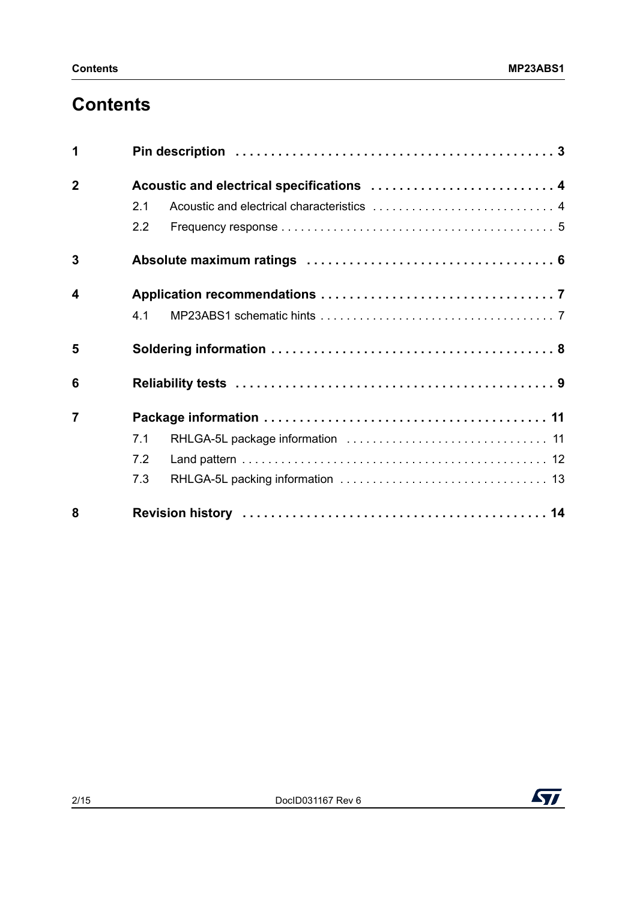## **Contents**

| 1                       |                                           |
|-------------------------|-------------------------------------------|
| $\overline{2}$          | Acoustic and electrical specifications  4 |
|                         | 2.1                                       |
|                         | 2.2                                       |
| 3                       |                                           |
| $\overline{\mathbf{4}}$ |                                           |
|                         | 4.1                                       |
| 5                       |                                           |
| 6                       |                                           |
| $\overline{7}$          |                                           |
|                         | 7.1                                       |
|                         | 7.2                                       |
|                         | 7.3                                       |
| 8                       |                                           |

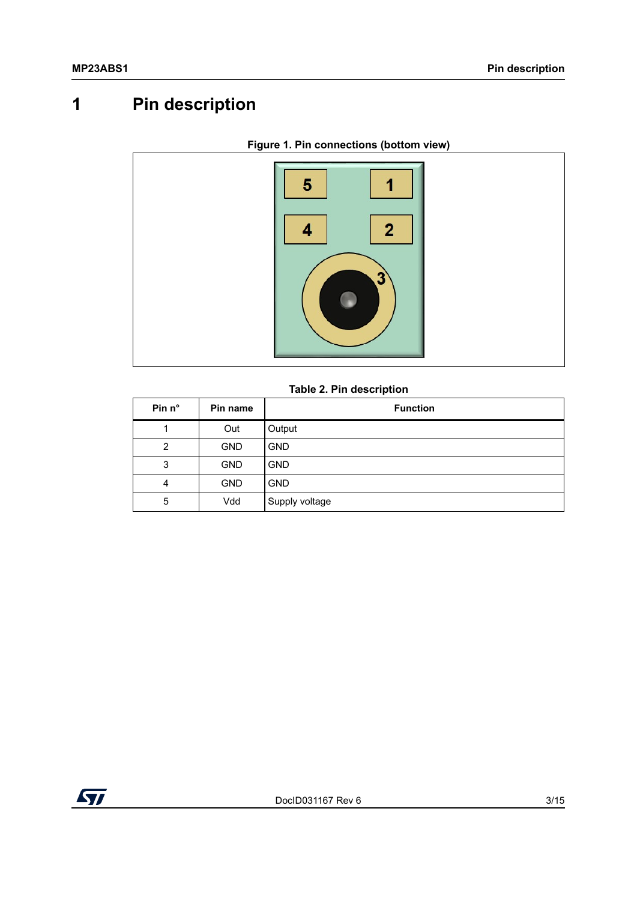## <span id="page-2-0"></span>**1 Pin description**



#### **Figure 1. Pin connections (bottom view)**

#### **Table 2. Pin description**

| Pin n°         | Pin name   | <b>Function</b> |
|----------------|------------|-----------------|
|                | Out        | Output          |
| $\overline{2}$ | <b>GND</b> | <b>GND</b>      |
| 3              | <b>GND</b> | <b>GND</b>      |
| 4              | <b>GND</b> | <b>GND</b>      |
| 5              | Vdd        | Supply voltage  |

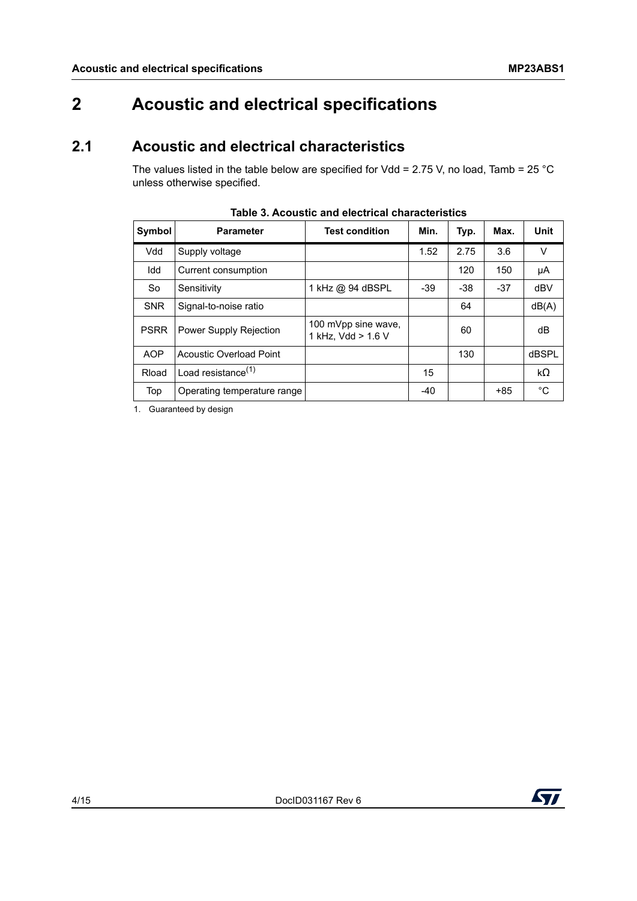## <span id="page-3-0"></span>**2 Acoustic and electrical specifications**

### <span id="page-3-1"></span>**2.1 Acoustic and electrical characteristics**

The values listed in the table below are specified for Vdd = 2.75 V, no load, Tamb = 25 °C unless otherwise specified.

| Symbol      | <b>Parameter</b>            | <b>Test condition</b>                     | Min.  | Typ.  | Max.  | Unit  |
|-------------|-----------------------------|-------------------------------------------|-------|-------|-------|-------|
| Vdd         | Supply voltage              |                                           | 1.52  | 2.75  | 3.6   | V     |
| Idd         | Current consumption         |                                           |       | 120   | 150   | μA    |
| <b>So</b>   | Sensitivity                 | 1 kHz @ 94 dBSPL                          | $-39$ | $-38$ | $-37$ | dBV   |
| <b>SNR</b>  | Signal-to-noise ratio       |                                           |       | 64    |       | dB(A) |
| <b>PSRR</b> | Power Supply Rejection      | 100 mVpp sine wave,<br>1 kHz, Vdd > 1.6 V |       | 60    |       | dB    |
| <b>AOP</b>  | Acoustic Overload Point     |                                           |       | 130   |       | dBSPL |
| Rload       | Load resistance $(1)$       |                                           | 15    |       |       | kΩ    |
| Top         | Operating temperature range |                                           | $-40$ |       | +85   | °C    |

**Table 3. Acoustic and electrical characteristics**

1. Guaranteed by design

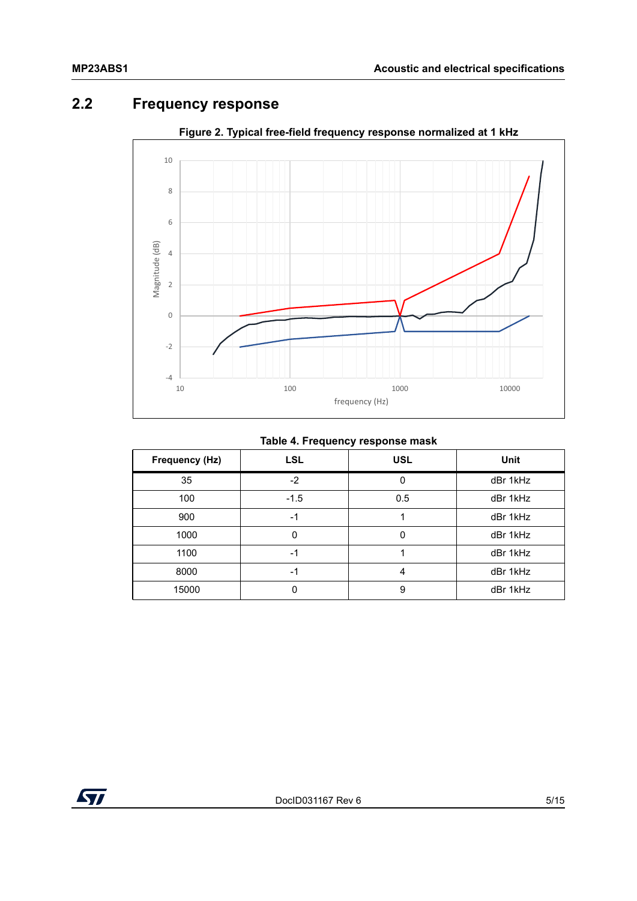### <span id="page-4-0"></span>**2.2 Frequency response**



**Figure 2. Typical free-field frequency response normalized at 1 kHz**

#### **Table 4. Frequency response mask**

| Frequency (Hz) | <b>LSL</b> | <b>USL</b> | <b>Unit</b> |
|----------------|------------|------------|-------------|
| 35             | $-2$       | $\Omega$   | dBr 1kHz    |
| 100            | $-1.5$     | 0.5        | dBr 1kHz    |
| 900            | -1         |            | dBr 1kHz    |
| 1000           | 0          |            | dBr 1kHz    |
| 1100           | -1         |            | dBr 1kHz    |
| 8000           | -1         | 4          | dBr 1kHz    |
| 15000          | 0          | 9          | dBr 1kHz    |

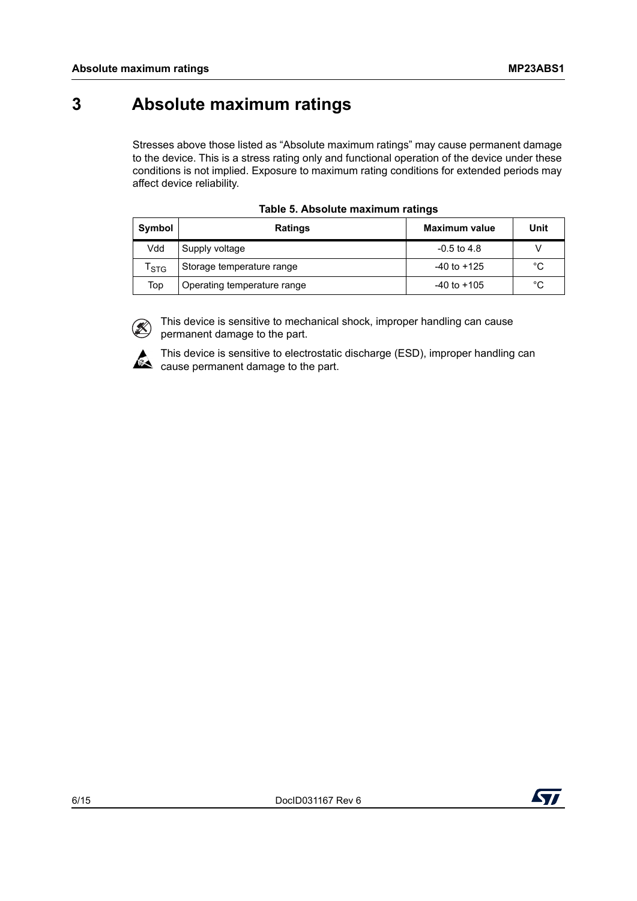## <span id="page-5-0"></span>**3 Absolute maximum ratings**

Stresses above those listed as "Absolute maximum ratings" may cause permanent damage to the device. This is a stress rating only and functional operation of the device under these conditions is not implied. Exposure to maximum rating conditions for extended periods may affect device reliability.

<span id="page-5-1"></span>

| Symbol | <b>Ratings</b>              | Maximum value   | Unit |
|--------|-----------------------------|-----------------|------|
| Vdd    | Supply voltage              | $-0.5$ to 4.8   |      |
| l stG  | Storage temperature range   | $-40$ to $+125$ | °C   |
| Top    | Operating temperature range | $-40$ to $+105$ | °C   |

|  |  | Table 5. Absolute maximum ratings |  |
|--|--|-----------------------------------|--|
|--|--|-----------------------------------|--|



This device is sensitive to mechanical shock, improper handling can cause permanent damage to the part.



This device is sensitive to electrostatic discharge (ESD), improper handling can  $\mathbb{R}$  cause permanent damage to the part.

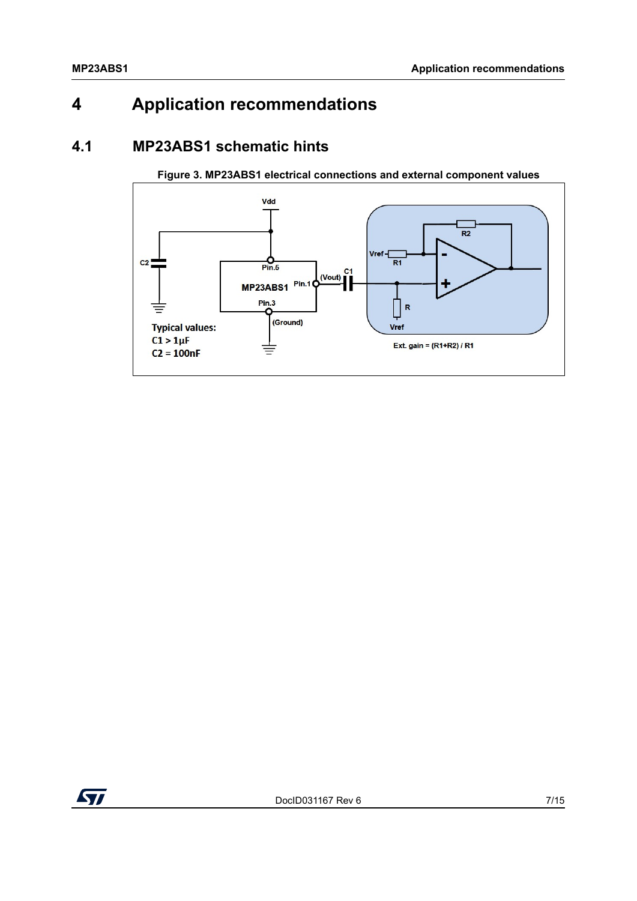## <span id="page-6-0"></span>**4 Application recommendations**

#### <span id="page-6-1"></span>**4.1 MP23ABS1 schematic hints**



**Figure 3. MP23ABS1 electrical connections and external component values**

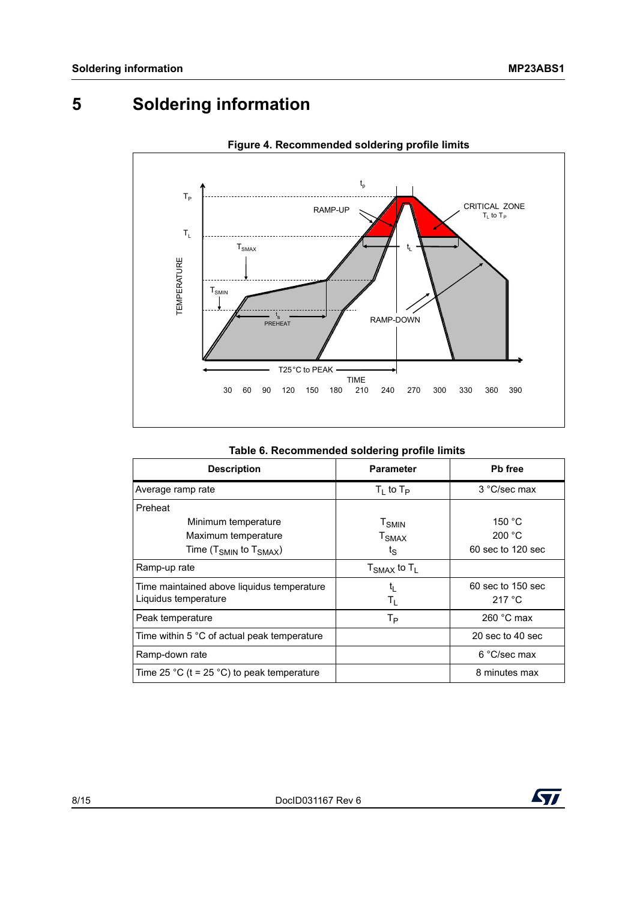## <span id="page-7-0"></span>**5 Soldering information**



#### **Figure 4. Recommended soldering profile limits**

| <b>Description</b>                                         | <b>Parameter</b>    | Pb free           |
|------------------------------------------------------------|---------------------|-------------------|
| Average ramp rate                                          | $T_1$ to $T_P$      | 3 °C/sec max      |
| Preheat                                                    |                     |                   |
| Minimum temperature                                        | $T_{SMIN}$          | 150 °C            |
| Maximum temperature                                        | $T_{\text{SMAX}}$   | 200 °C            |
| Time (T $_{\text{SMIN}}$ to T $_{\text{SMAX}}$ )           | $t_{\rm S}$         | 60 sec to 120 sec |
| Ramp-up rate                                               | $T_{SMAX}$ to $T_L$ |                   |
| Time maintained above liquidus temperature                 | t,                  | 60 sec to 150 sec |
| Liquidus temperature                                       | $T_{\rm L}$         | 217 °C            |
| Peak temperature                                           | Tр                  | 260 $°C$ max      |
| Time within 5 $^\circ\text{C}$ of actual peak temperature. |                     | 20 sec to 40 sec  |
| Ramp-down rate                                             |                     | 6 °C/sec max      |
| Time 25 °C (t = 25 °C) to peak temperature                 |                     | 8 minutes max     |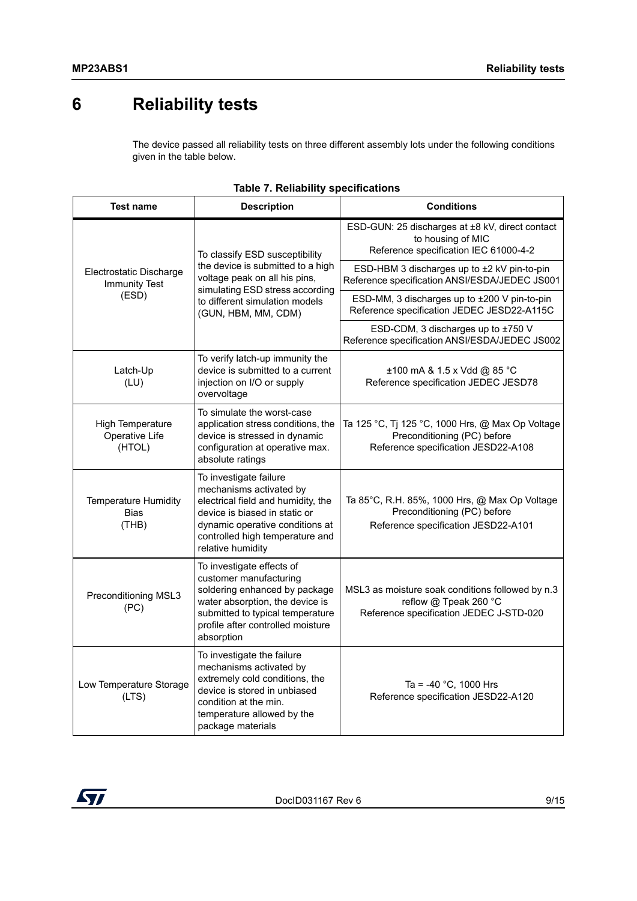## <span id="page-8-0"></span>**6 Reliability tests**

The device passed all reliability tests on three different assembly lots under the following conditions given in the table below.

| <b>Test name</b>                                    | <b>Description</b>                                                                                                                                                                                                  | <b>Conditions</b>                                                                                                      |
|-----------------------------------------------------|---------------------------------------------------------------------------------------------------------------------------------------------------------------------------------------------------------------------|------------------------------------------------------------------------------------------------------------------------|
|                                                     | To classify ESD susceptibility<br>the device is submitted to a high<br>voltage peak on all his pins,                                                                                                                | ESD-GUN: 25 discharges at ±8 kV, direct contact<br>to housing of MIC<br>Reference specification IEC 61000-4-2          |
| Electrostatic Discharge<br><b>Immunity Test</b>     |                                                                                                                                                                                                                     | ESD-HBM 3 discharges up to ±2 kV pin-to-pin<br>Reference specification ANSI/ESDA/JEDEC JS001                           |
| (ESD)                                               | simulating ESD stress according<br>to different simulation models<br>(GUN, HBM, MM, CDM)                                                                                                                            | ESD-MM, 3 discharges up to ±200 V pin-to-pin<br>Reference specification JEDEC JESD22-A115C                             |
|                                                     |                                                                                                                                                                                                                     | ESD-CDM, 3 discharges up to ±750 V<br>Reference specification ANSI/ESDA/JEDEC JS002                                    |
| Latch-Up<br>(LU)                                    | To verify latch-up immunity the<br>device is submitted to a current<br>injection on I/O or supply<br>overvoltage                                                                                                    | ±100 mA & 1.5 x Vdd @ 85 °C<br>Reference specification JEDEC JESD78                                                    |
| High Temperature<br>Operative Life<br>(HTOL)        | To simulate the worst-case<br>application stress conditions, the<br>device is stressed in dynamic<br>configuration at operative max.<br>absolute ratings                                                            | Ta 125 °C, Tj 125 °C, 1000 Hrs, @ Max Op Voltage<br>Preconditioning (PC) before<br>Reference specification JESD22-A108 |
| <b>Temperature Humidity</b><br><b>Bias</b><br>(THB) | To investigate failure<br>mechanisms activated by<br>electrical field and humidity, the<br>device is biased in static or<br>dynamic operative conditions at<br>controlled high temperature and<br>relative humidity | Ta 85°C, R.H. 85%, 1000 Hrs, @ Max Op Voltage<br>Preconditioning (PC) before<br>Reference specification JESD22-A101    |
| Preconditioning MSL3<br>(PC)                        | To investigate effects of<br>customer manufacturing<br>soldering enhanced by package<br>water absorption, the device is<br>submitted to typical temperature<br>profile after controlled moisture<br>absorption      | MSL3 as moisture soak conditions followed by n.3<br>reflow @ Tpeak 260 °C<br>Reference specification JEDEC J-STD-020   |
| Low Temperature Storage<br>(LTS)                    | To investigate the failure<br>mechanisms activated by<br>extremely cold conditions, the<br>device is stored in unbiased<br>condition at the min.<br>temperature allowed by the<br>package materials                 | Ta = -40 °C, 1000 Hrs<br>Reference specification JESD22-A120                                                           |

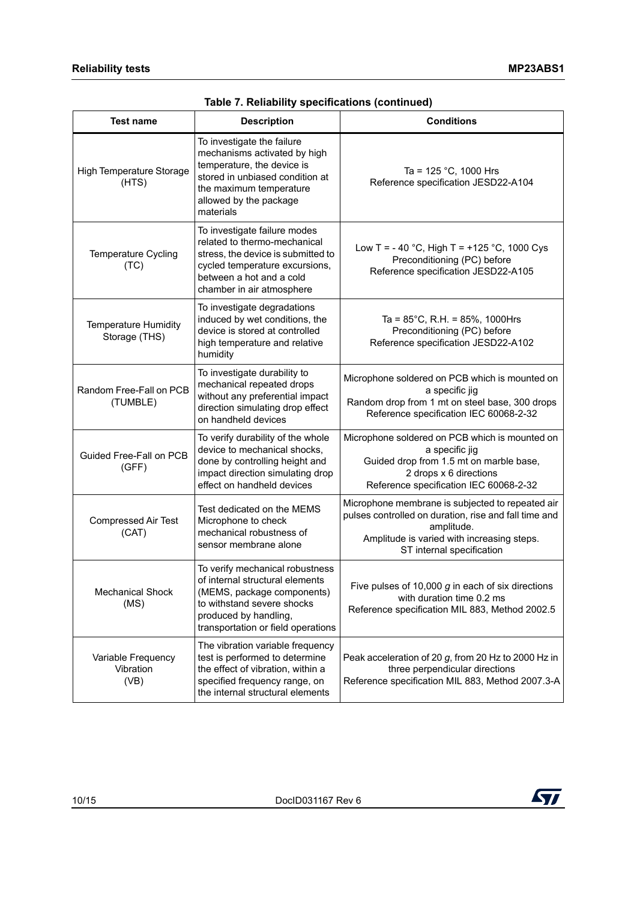| <b>Test name</b>                             | <b>Description</b>                                                                                                                                                                            | <b>Conditions</b>                                                                                                                                                                                  |
|----------------------------------------------|-----------------------------------------------------------------------------------------------------------------------------------------------------------------------------------------------|----------------------------------------------------------------------------------------------------------------------------------------------------------------------------------------------------|
| High Temperature Storage<br>(HTS)            | To investigate the failure<br>mechanisms activated by high<br>temperature, the device is<br>stored in unbiased condition at<br>the maximum temperature<br>allowed by the package<br>materials | Ta = $125$ °C, 1000 Hrs<br>Reference specification JESD22-A104                                                                                                                                     |
| Temperature Cycling<br>(TC)                  | To investigate failure modes<br>related to thermo-mechanical<br>stress, the device is submitted to<br>cycled temperature excursions,<br>between a hot and a cold<br>chamber in air atmosphere | Low T = - 40 °C, High T = +125 °C, 1000 Cys<br>Preconditioning (PC) before<br>Reference specification JESD22-A105                                                                                  |
| <b>Temperature Humidity</b><br>Storage (THS) | To investigate degradations<br>induced by wet conditions, the<br>device is stored at controlled<br>high temperature and relative<br>humidity                                                  | Ta = $85^{\circ}$ C, R.H. = $85\%$ , 1000Hrs<br>Preconditioning (PC) before<br>Reference specification JESD22-A102                                                                                 |
| Random Free-Fall on PCB<br>(TUMBLE)          | To investigate durability to<br>mechanical repeated drops<br>without any preferential impact<br>direction simulating drop effect<br>on handheld devices                                       | Microphone soldered on PCB which is mounted on<br>a specific jig<br>Random drop from 1 mt on steel base, 300 drops<br>Reference specification IEC 60068-2-32                                       |
| Guided Free-Fall on PCB<br>(GFF)             | To verify durability of the whole<br>device to mechanical shocks,<br>done by controlling height and<br>impact direction simulating drop<br>effect on handheld devices                         | Microphone soldered on PCB which is mounted on<br>a specific jig<br>Guided drop from 1.5 mt on marble base,<br>2 drops x 6 directions<br>Reference specification IEC 60068-2-32                    |
| <b>Compressed Air Test</b><br>(CAT)          | Test dedicated on the MEMS<br>Microphone to check<br>mechanical robustness of<br>sensor membrane alone                                                                                        | Microphone membrane is subjected to repeated air<br>pulses controlled on duration, rise and fall time and<br>amplitude.<br>Amplitude is varied with increasing steps.<br>ST internal specification |
| <b>Mechanical Shock</b><br>(MS)              | To verify mechanical robustness<br>of internal structural elements<br>(MEMS, package components)<br>to withstand severe shocks<br>produced by handling,<br>transportation or field operations | Five pulses of 10,000 $g$ in each of six directions<br>with duration time 0.2 ms<br>Reference specification MIL 883, Method 2002.5                                                                 |
| Variable Frequency<br>Vibration<br>(VB)      | The vibration variable frequency<br>test is performed to determine<br>the effect of vibration, within a<br>specified frequency range, on<br>the internal structural elements                  | Peak acceleration of 20 g, from 20 Hz to 2000 Hz in<br>three perpendicular directions<br>Reference specification MIL 883, Method 2007.3-A                                                          |

**Table 7. Reliability specifications (continued)**

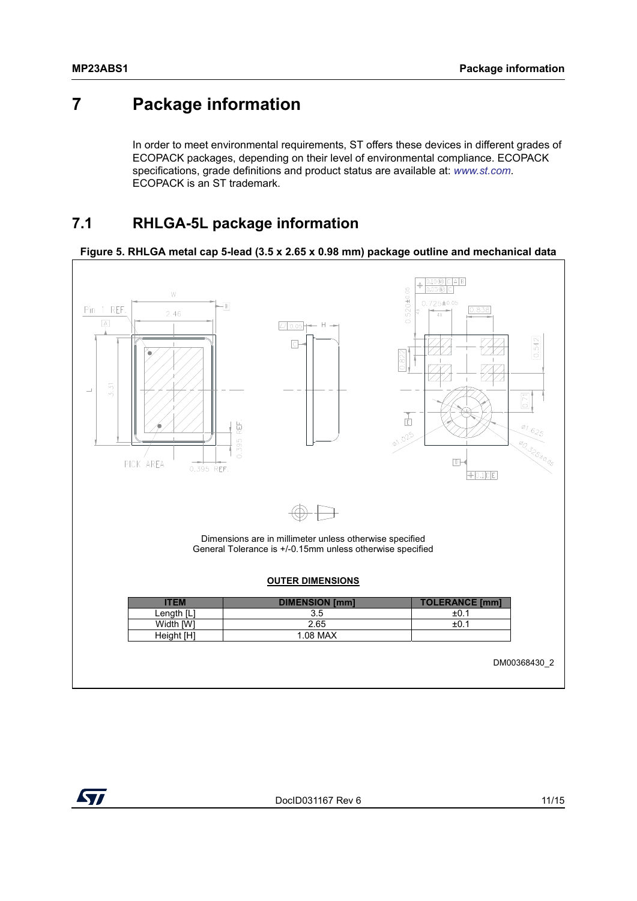### <span id="page-10-0"></span>**7 Package information**

In order to meet environmental requirements, ST offers these devices in different grades of ECOPACK packages, depending on their level of environmental compliance. ECOPACK specifications, grade definitions and product status are available at: *[www.st.com](http://www.st.com)*. ECOPACK is an ST trademark.

### <span id="page-10-1"></span>**7.1 RHLGA-5L package information**



#### **Figure 5. RHLGA metal cap 5-lead (3.5 x 2.65 x 0.98 mm) package outline and mechanical data**

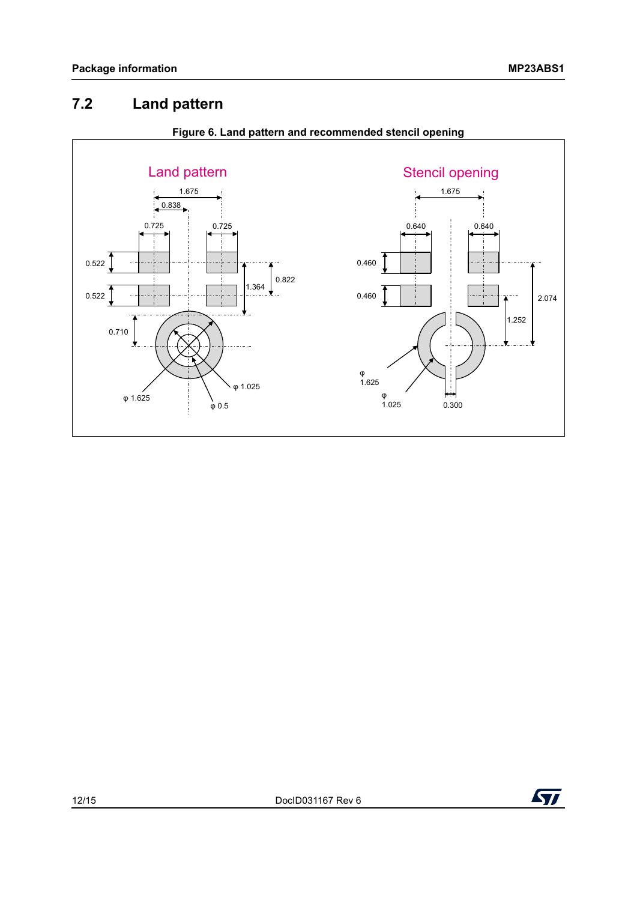### <span id="page-11-0"></span>**7.2 Land pattern**



#### **Figure 6. Land pattern and recommended stencil opening**

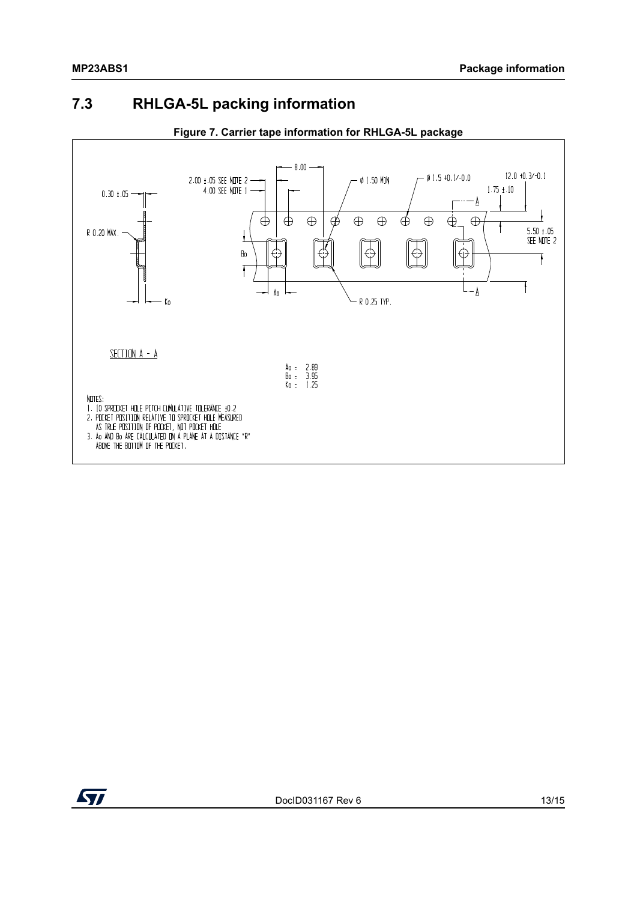### <span id="page-12-0"></span>**7.3 RHLGA-5L packing information**



#### **Figure 7. Carrier tape information for RHLGA-5L package**

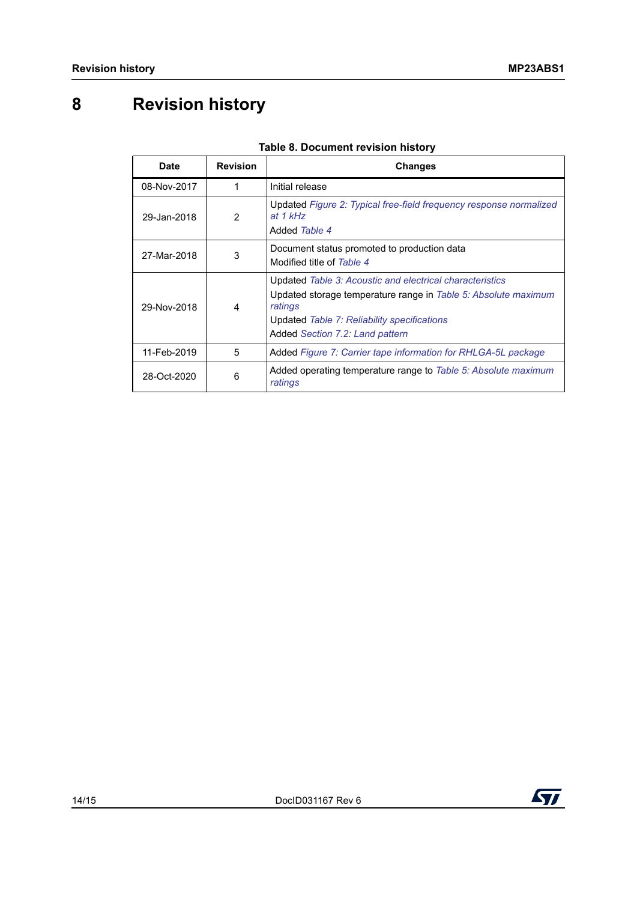## <span id="page-13-0"></span>**8 Revision history**

| <b>Date</b> | <b>Revision</b> | <b>Changes</b>                                                                                                                                                                                                          |
|-------------|-----------------|-------------------------------------------------------------------------------------------------------------------------------------------------------------------------------------------------------------------------|
| 08-Nov-2017 |                 | Initial release                                                                                                                                                                                                         |
| 29-Jan-2018 | $\mathcal{P}$   | Updated Figure 2: Typical free-field frequency response normalized<br>at $1$ kHz<br>Added Table 4                                                                                                                       |
| 27-Mar-2018 | 3               | Document status promoted to production data<br>Modified title of Table 4                                                                                                                                                |
| 29-Nov-2018 | 4               | Updated Table 3: Acoustic and electrical characteristics<br>Updated storage temperature range in Table 5: Absolute maximum<br>ratings<br>Updated Table 7: Reliability specifications<br>Added Section 7.2: Land pattern |
| 11-Feb-2019 | 5               | Added Figure 7: Carrier tape information for RHLGA-5L package                                                                                                                                                           |
| 28-Oct-2020 | 6               | Added operating temperature range to Table 5: Absolute maximum<br>ratings                                                                                                                                               |

#### **Table 8. Document revision history**